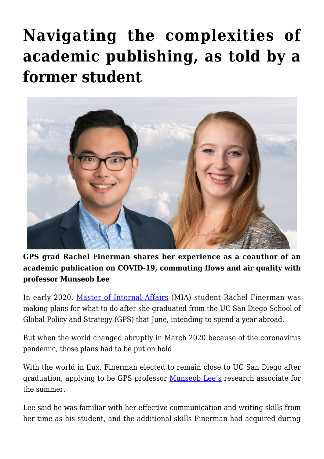## **[Navigating the complexities of](https://gpsnews.ucsd.edu/navigating-the-complexities-of-academic-publishing-as-told-by-a-former-student/) [academic publishing, as told by a](https://gpsnews.ucsd.edu/navigating-the-complexities-of-academic-publishing-as-told-by-a-former-student/) [former student](https://gpsnews.ucsd.edu/navigating-the-complexities-of-academic-publishing-as-told-by-a-former-student/)**



**GPS grad Rachel Finerman shares her experience as a coauthor of an academic publication on COVID-19, commuting flows and air quality with professor Munseob Lee** 

In early 2020, [Master of Internal Affairs](https://gps.ucsd.edu/academics/mia.html) (MIA) student Rachel Finerman was making plans for what to do after she graduated from the UC San Diego School of Global Policy and Strategy (GPS) that June, intending to spend a year abroad.

But when the world changed abruptly in March 2020 because of the coronavirus pandemic, those plans had to be put on hold.

With the world in flux, Finerman elected to remain close to UC San Diego after graduation, applying to be GPS professor [Munseob Lee's](https://gps.ucsd.edu/faculty-directory/munseob-lee.html) research associate for the summer.

Lee said he was familiar with her effective communication and writing skills from her time as his student, and the additional skills Finerman had acquired during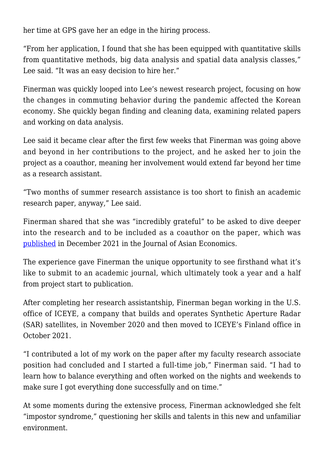her time at GPS gave her an edge in the hiring process.

"From her application, I found that she has been equipped with quantitative skills from quantitative methods, big data analysis and spatial data analysis classes," Lee said. "It was an easy decision to hire her."

Finerman was quickly looped into Lee's newest research project, focusing on how the changes in commuting behavior during the pandemic affected the Korean economy. She quickly began finding and cleaning data, examining related papers and working on data analysis.

Lee said it became clear after the first few weeks that Finerman was going above and beyond in her contributions to the project, and he asked her to join the project as a coauthor, meaning her involvement would extend far beyond her time as a research assistant.

"Two months of summer research assistance is too short to finish an academic research paper, anyway," Lee said.

Finerman shared that she was "incredibly grateful" to be asked to dive deeper into the research and to be included as a coauthor on the paper, which was [published](https://www.sciencedirect.com/science/article/pii/S1049007821001032) in December 2021 in the Journal of Asian Economics.

The experience gave Finerman the unique opportunity to see firsthand what it's like to submit to an academic journal, which ultimately took a year and a half from project start to publication.

After completing her research assistantship, Finerman began working in the U.S. office of ICEYE, a company that builds and operates Synthetic Aperture Radar (SAR) satellites, in November 2020 and then moved to ICEYE's Finland office in October 2021.

"I contributed a lot of my work on the paper after my faculty research associate position had concluded and I started a full-time job," Finerman said. "I had to learn how to balance everything and often worked on the nights and weekends to make sure I got everything done successfully and on time."

At some moments during the extensive process, Finerman acknowledged she felt "impostor syndrome," questioning her skills and talents in this new and unfamiliar environment.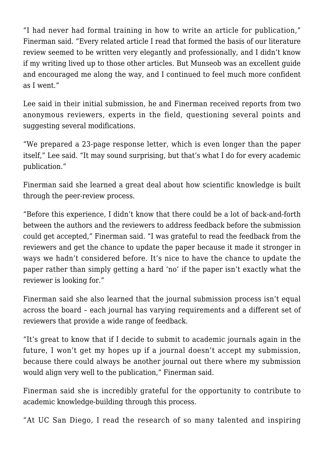"I had never had formal training in how to write an article for publication," Finerman said. "Every related article I read that formed the basis of our literature review seemed to be written very elegantly and professionally, and I didn't know if my writing lived up to those other articles. But Munseob was an excellent guide and encouraged me along the way, and I continued to feel much more confident as I went."

Lee said in their initial submission, he and Finerman received reports from two anonymous reviewers, experts in the field, questioning several points and suggesting several modifications.

"We prepared a 23-page response letter, which is even longer than the paper itself," Lee said. "It may sound surprising, but that's what I do for every academic publication."

Finerman said she learned a great deal about how scientific knowledge is built through the peer-review process.

"Before this experience, I didn't know that there could be a lot of back-and-forth between the authors and the reviewers to address feedback before the submission could get accepted," Finerman said. "I was grateful to read the feedback from the reviewers and get the chance to update the paper because it made it stronger in ways we hadn't considered before. It's nice to have the chance to update the paper rather than simply getting a hard 'no' if the paper isn't exactly what the reviewer is looking for."

Finerman said she also learned that the journal submission process isn't equal across the board – each journal has varying requirements and a different set of reviewers that provide a wide range of feedback.

"It's great to know that if I decide to submit to academic journals again in the future, I won't get my hopes up if a journal doesn't accept my submission, because there could always be another journal out there where my submission would align very well to the publication," Finerman said.

Finerman said she is incredibly grateful for the opportunity to contribute to academic knowledge-building through this process.

"At UC San Diego, I read the research of so many talented and inspiring